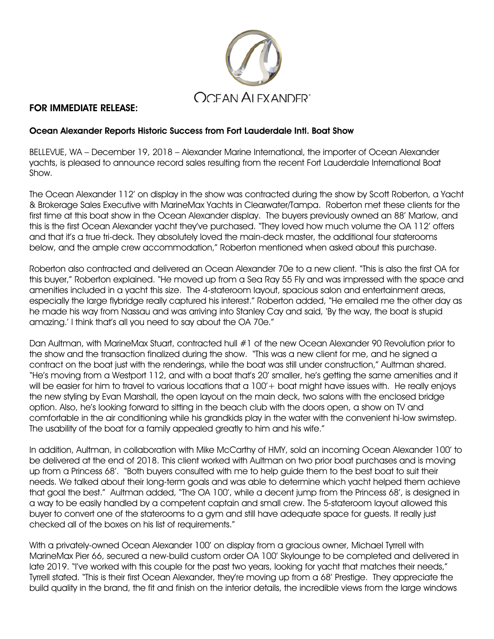

## FOR IMMEDIATE RELEASE:

## Ocean Alexander Reports Historic Success from Fort Lauderdale Intl. Boat Show

BELLEVUE, WA – December 19, 2018 – Alexander Marine International, the importer of Ocean Alexander yachts, is pleased to announce record sales resulting from the recent Fort Lauderdale International Boat Show.

The Ocean Alexander 112' on display in the show was contracted during the show by Scott Roberton, a Yacht & Brokerage Sales Executive with MarineMax Yachts in Clearwater/Tampa. Roberton met these clients for the first time at this boat show in the Ocean Alexander display. The buyers previously owned an 88' Marlow, and this is the first Ocean Alexander yacht they've purchased. "They loved how much volume the OA 112' offers and that it's a true tri-deck. They absolutely loved the main-deck master, the additional four staterooms below, and the ample crew accommodation," Roberton mentioned when asked about this purchase.

Roberton also contracted and delivered an Ocean Alexander 70e to a new client. "This is also the first OA for this buyer," Roberton explained. "He moved up from a Sea Ray 55 Fly and was impressed with the space and amenities included in a yacht this size. The 4-stateroom layout, spacious salon and entertainment areas, especially the large flybridge really captured his interest." Roberton added, "He emailed me the other day as he made his way from Nassau and was arriving into Stanley Cay and said, 'By the way, the boat is stupid amazing.' I think that's all you need to say about the OA 70e."

Dan Aultman, with MarineMax Stuart, contracted hull #1 of the new Ocean Alexander 90 Revolution prior to the show and the transaction finalized during the show. "This was a new client for me, and he signed a contract on the boat just with the renderings, while the boat was still under construction," Aultman shared. "He's moving from a Westport 112, and with a boat that's 20' smaller, he's getting the same amenities and it will be easier for him to travel to various locations that a 100' + boat might have issues with. He really enjoys the new styling by Evan Marshall, the open layout on the main deck, two salons with the enclosed bridge option. Also, he's looking forward to sitting in the beach club with the doors open, a show on TV and comfortable in the air conditioning while his grandkids play in the water with the convenient hi-low swimstep. The usability of the boat for a family appealed greatly to him and his wife."

In addition, Aultman, in collaboration with Mike McCarthy of HMY, sold an incoming Ocean Alexander 100' to be delivered at the end of 2018. This client worked with Aultman on two prior boat purchases and is moving up from a Princess 68'. "Both buyers consulted with me to help guide them to the best boat to suit their needs. We talked about their long-term goals and was able to determine which yacht helped them achieve that goal the best." Aultman added, "The OA 100', while a decent jump from the Princess 68', is designed in a way to be easily handled by a competent captain and small crew. The 5-stateroom layout allowed this buyer to convert one of the staterooms to a gym and still have adequate space for guests. It really just checked all of the boxes on his list of requirements."

With a privately-owned Ocean Alexander 100' on display from a gracious owner, Michael Tyrrell with MarineMax Pier 66, secured a new-build custom order OA 100' Skylounge to be completed and delivered in late 2019. "I've worked with this couple for the past two years, looking for yacht that matches their needs," Tyrrell stated. "This is their first Ocean Alexander, they're moving up from a 68' Prestige. They appreciate the build quality in the brand, the fit and finish on the interior details, the incredible views from the large windows